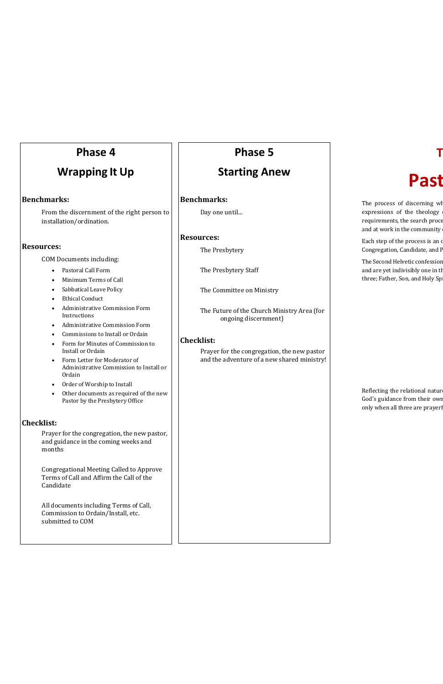Prayer for the congregation, the new pastor and the adventure of a new shared ministry!

# **The Presbytery of Arkansas Past**

The process of discerning wh expressions of the theology requirements, the search proce and at work in the community

Each step of the process is an o Congregation, Candidate, and F

The Second Helvetic confession and are yet indivisibly one in the three; Father, Son, and Holy Sp

Reflecting the relational natur God's guidance from their own only when all three are prayerf

- Pastoral Call Form
- Minimum Terms of Call
- Sabbatical Leave Policy
- **Ethical Conduct**
- Administrative Commission Form Instructions
- Administrative Commission Form
- Commissions to Install or Ordain
- Form for Minutes of Commission to Install or Ordain
- Form Letter for Moderator of Administrative Commission to Install or Ordain
- Order of Worship to Install
- Other documents as required of the new Pastor by the Presbytery Office

Prayer for the congregation, the new pastor, and guidance in the coming weeks and months

All documents including Terms of Call, Commission to Ordain/Install, etc. submitted to COM

# **Phase 5**

### **Starting Anew**

#### **Benchmarks:**

Day one until...

#### **Resources:**

The Presbytery

The Presbytery Staff

The Committee on Ministry

The Future of the Church Ministry Area (for ongoing discernment)

#### **Checklist:**

## **Phase 4**

## **Wrapping It Up**

#### **Benchmarks:**

From the discernment of the right person to installation/ordination.

#### **Resources:**

COM Documents including:

#### **Checklist:**

Congregational Meeting Called to Approve Terms of Call and Affirm the Call of the Candidate